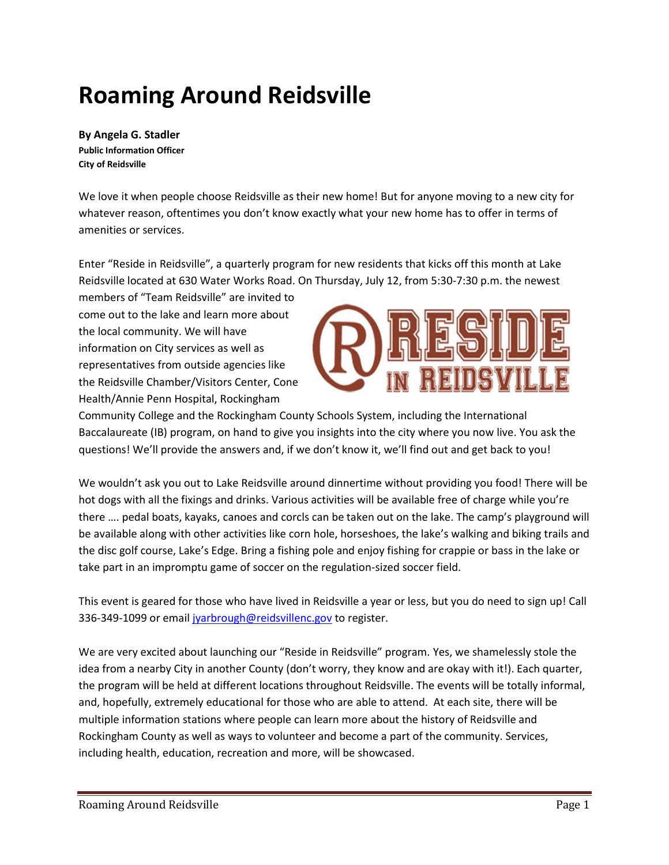# **Roaming Around Reidsville**

**By Angela G. Stadler Public Information Officer City of Reidsville**

We love it when people choose Reidsville as their new home! But for anyone moving to a new city for whatever reason, oftentimes you don't know exactly what your new home has to offer in terms of amenities or services.

Enter "Reside in Reidsville", a quarterly program for new residents that kicks off this month at Lake Reidsville located at 630 Water Works Road. On Thursday, July 12, from 5:30-7:30 p.m. the newest

members of "Team Reidsville" are invited to come out to the lake and learn more about the local community. We will have information on City services as well as representatives from outside agencies like the Reidsville Chamber/Visitors Center, Cone Health/Annie Penn Hospital, Rockingham



Community College and the Rockingham County Schools System, including the International Baccalaureate (IB) program, on hand to give you insights into the city where you now live. You ask the questions! We'll provide the answers and, if we don't know it, we'll find out and get back to you!

We wouldn't ask you out to Lake Reidsville around dinnertime without providing you food! There will be hot dogs with all the fixings and drinks. Various activities will be available free of charge while you're there …. pedal boats, kayaks, canoes and corcls can be taken out on the lake. The camp's playground will be available along with other activities like corn hole, horseshoes, the lake's walking and biking trails and the disc golf course, Lake's Edge. Bring a fishing pole and enjoy fishing for crappie or bass in the lake or take part in an impromptu game of soccer on the regulation-sized soccer field.

This event is geared for those who have lived in Reidsville a year or less, but you do need to sign up! Call 336-349-1099 or email [jyarbrough@reidsvillenc.gov](mailto:jyarbrough@reidsvillenc.gov) to register.

We are very excited about launching our "Reside in Reidsville" program. Yes, we shamelessly stole the idea from a nearby City in another County (don't worry, they know and are okay with it!). Each quarter, the program will be held at different locations throughout Reidsville. The events will be totally informal, and, hopefully, extremely educational for those who are able to attend. At each site, there will be multiple information stations where people can learn more about the history of Reidsville and Rockingham County as well as ways to volunteer and become a part of the community. Services, including health, education, recreation and more, will be showcased.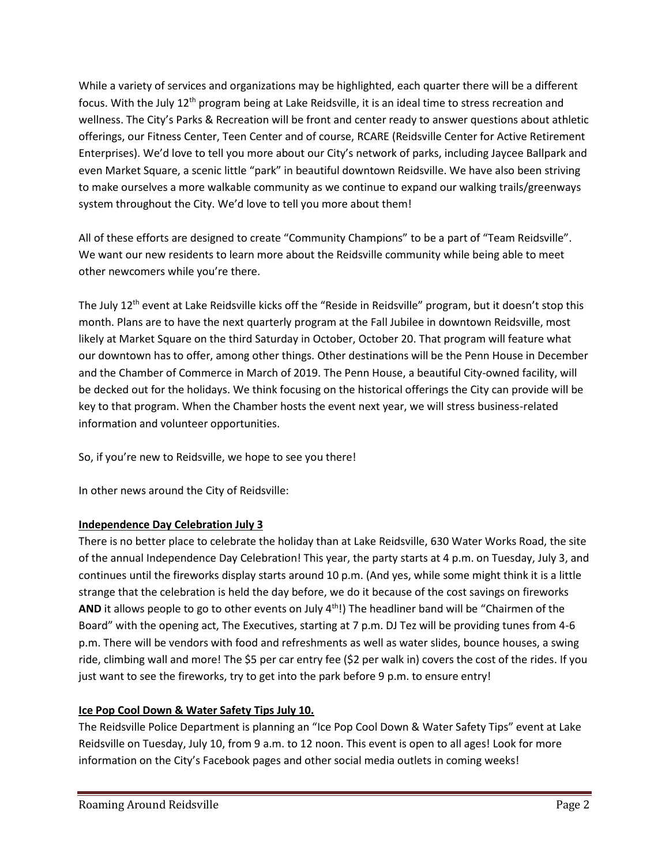While a variety of services and organizations may be highlighted, each quarter there will be a different focus. With the July 12<sup>th</sup> program being at Lake Reidsville, it is an ideal time to stress recreation and wellness. The City's Parks & Recreation will be front and center ready to answer questions about athletic offerings, our Fitness Center, Teen Center and of course, RCARE (Reidsville Center for Active Retirement Enterprises). We'd love to tell you more about our City's network of parks, including Jaycee Ballpark and even Market Square, a scenic little "park" in beautiful downtown Reidsville. We have also been striving to make ourselves a more walkable community as we continue to expand our walking trails/greenways system throughout the City. We'd love to tell you more about them!

All of these efforts are designed to create "Community Champions" to be a part of "Team Reidsville". We want our new residents to learn more about the Reidsville community while being able to meet other newcomers while you're there.

The July 12<sup>th</sup> event at Lake Reidsville kicks off the "Reside in Reidsville" program, but it doesn't stop this month. Plans are to have the next quarterly program at the Fall Jubilee in downtown Reidsville, most likely at Market Square on the third Saturday in October, October 20. That program will feature what our downtown has to offer, among other things. Other destinations will be the Penn House in December and the Chamber of Commerce in March of 2019. The Penn House, a beautiful City-owned facility, will be decked out for the holidays. We think focusing on the historical offerings the City can provide will be key to that program. When the Chamber hosts the event next year, we will stress business-related information and volunteer opportunities.

So, if you're new to Reidsville, we hope to see you there!

In other news around the City of Reidsville:

# **Independence Day Celebration July 3**

There is no better place to celebrate the holiday than at Lake Reidsville, 630 Water Works Road, the site of the annual Independence Day Celebration! This year, the party starts at 4 p.m. on Tuesday, July 3, and continues until the fireworks display starts around 10 p.m. (And yes, while some might think it is a little strange that the celebration is held the day before, we do it because of the cost savings on fireworks AND it allows people to go to other events on July 4<sup>th</sup>!) The headliner band will be "Chairmen of the Board" with the opening act, The Executives, starting at 7 p.m. DJ Tez will be providing tunes from 4-6 p.m. There will be vendors with food and refreshments as well as water slides, bounce houses, a swing ride, climbing wall and more! The \$5 per car entry fee (\$2 per walk in) covers the cost of the rides. If you just want to see the fireworks, try to get into the park before 9 p.m. to ensure entry!

# **Ice Pop Cool Down & Water Safety Tips July 10.**

The Reidsville Police Department is planning an "Ice Pop Cool Down & Water Safety Tips" event at Lake Reidsville on Tuesday, July 10, from 9 a.m. to 12 noon. This event is open to all ages! Look for more information on the City's Facebook pages and other social media outlets in coming weeks!